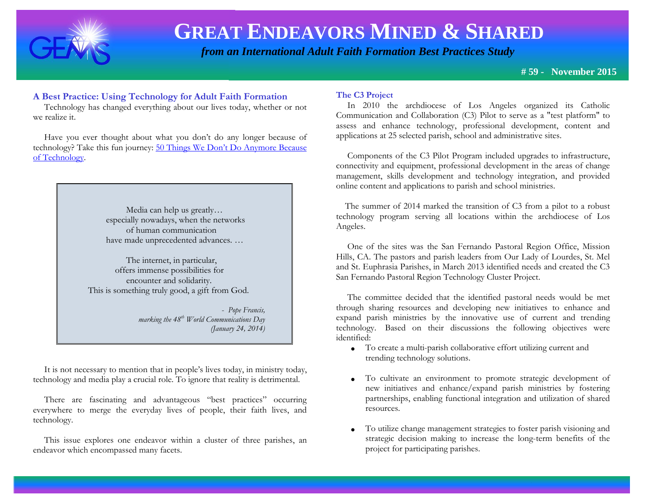

 *from an International Adult Faith Formation Best Practices Study*

**# 59 - November 2015**

# **A Best Practice: Using Technology for Adult Faith Formation**

 Technology has changed everything about our lives today, whether or not we realize it.

 Have you ever thought about what you don't do any longer because of technology? Take this fun journey: [50 Things We Don't Do Anymore Because](http://churchm.ag/things-we-dont-do-anymore-because-technology/?utm)  [of Technology.](http://churchm.ag/things-we-dont-do-anymore-because-technology/?utm)

> Media can help us greatly… especially nowadays, when the networks of human communication have made unprecedented advances. …

 The internet, in particular, offers immense possibilities for encounter and solidarity. This is something truly good, a gift from God.

> - *Pope Francis, marking the 48th World Communications Day (January 24, 2014)*

 It is not necessary to mention that in people's lives today, in ministry today, technology and media play a crucial role. To ignore that reality is detrimental.

 There are fascinating and advantageous "best practices" occurring everywhere to merge the everyday lives of people, their faith lives, and technology.

 This issue explores one endeavor within a cluster of three parishes, an endeavor which encompassed many facets.

### **The C3 Project**

 In 2010 the archdiocese of Los Angeles organized its Catholic Communication and Collaboration (C3) Pilot to serve as a "test platform" to assess and enhance technology, professional development, content and applications at 25 selected parish, school and administrative sites.

 Components of the C3 Pilot Program included upgrades to infrastructure, connectivity and equipment, professional development in the areas of change management, skills development and technology integration, and provided online content and applications to parish and school ministries.

 The summer of 2014 marked the transition of C3 from a pilot to a robust technology program serving all locations within the archdiocese of Los Angeles.

One of the sites was the San Fernando Pastoral Region Office, Mission Hills, CA. The pastors and parish leaders from Our Lady of Lourdes, St. Mel and St. Euphrasia Parishes, in March 2013 identified needs and created the C3 San Fernando Pastoral Region Technology Cluster Project.

 The committee decided that the identified pastoral needs would be met through sharing resources and developing new initiatives to enhance and expand parish ministries by the innovative use of current and trending technology. Based on their discussions the following objectives were identified:

- To create a multi-parish collaborative effort utilizing current and trending technology solutions.
- To cultivate an environment to promote strategic development of new initiatives and enhance/expand parish ministries by fostering partnerships, enabling functional integration and utilization of shared resources.
- To utilize change management strategies to foster parish visioning and strategic decision making to increase the long-term benefits of the project for participating parishes.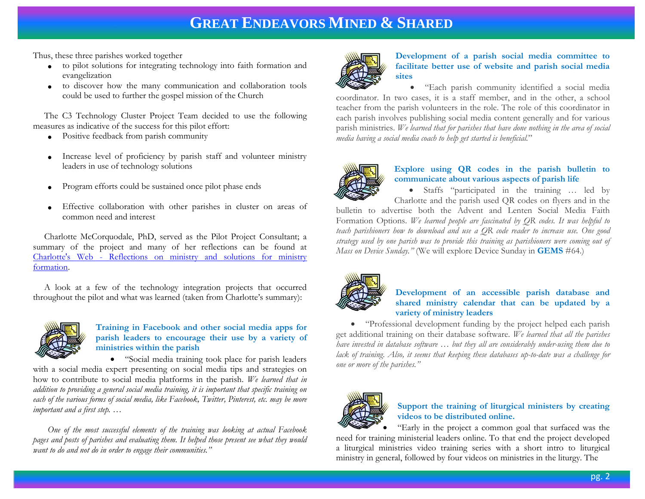Thus, these three parishes worked together

- to pilot solutions for integrating technology into faith formation and evangelization
- to discover how the many communication and collaboration tools could be used to further the gospel mission of the Church

 The C3 Technology Cluster Project Team decided to use the following measures as indicative of the success for this pilot effort:

- Positive feedback from parish community
- Increase level of proficiency by parish staff and volunteer ministry leaders in use of technology solutions
- Program efforts could be sustained once pilot phase ends
- Effective collaboration with other parishes in cluster on areas of common need and interest

 Charlotte McCorquodale, PhD, served as the Pilot Project Consultant; a summary of the project and many of her reflections can be found at Charlotte's Web - [Reflections on ministry and solutions for ministry](http://www.ministrytrainingsource.org/blog/)  [formation.](http://www.ministrytrainingsource.org/blog/)

 A look at a few of the technology integration projects that occurred throughout the pilot and what was learned (taken from Charlotte's summary):



## **Training in Facebook and other social media apps for parish leaders to encourage their use by a variety of ministries within the parish**

 "Social media training took place for parish leaders with a social media expert presenting on social media tips and strategies on how to contribute to social media platforms in the parish. *We learned that in addition to providing a general social media training, it is important that specific training on each of the various forms of social media, like Facebook, Twitter, Pinterest, etc. may be more important and a first step. …* 

*One of the most successful elements of the training was looking at actual Facebook pages and posts of parishes and evaluating them. It helped those present see what they would want to do and not do in order to engage their communities."*



### **Development of a parish social media committee to facilitate better use of website and parish social media sites**

 "Each parish community identified a social media coordinator. In two cases, it is a staff member, and in the other, a school teacher from the parish volunteers in the role. The role of this coordinator in each parish involves publishing social media content generally and for various parish ministries. *We learned that for parishes that have done nothing in the area of social media having a social media coach to help get started is beneficial.*"



# **Explore using QR codes in the parish bulletin to communicate about various aspects of parish life**

 Staffs "participated in the training … led by Charlotte and the parish used QR codes on flyers and in the

bulletin to advertise both the Advent and Lenten Social Media Faith Formation Options. *We learned people are fascinated by QR codes. It was helpful to teach parishioners how to download and use a QR code reader to increase use. One good strategy used by one parish was to provide this training as parishioners were coming out of Mass on Device Sunday."* (We will explore Device Sunday in **GEMS** #64.)



### **Development of an accessible parish database and shared ministry calendar that can be updated by a variety of ministry leaders**

 "Professional development funding by the project helped each parish get additional training on their database software. *We learned that all the parishes have invested in database software … but they all are considerably under-using them due to lack of training. Also, it seems that keeping these databases up-to-date was a challenge for one or more of the parishes."*



## **Support the training of liturgical ministers by creating videos to be distributed online.**

 "Early in the project a common goal that surfaced was the need for training ministerial leaders online. To that end the project developed a liturgical ministries video training series with a short intro to liturgical ministry in general, followed by four videos on ministries in the liturgy. The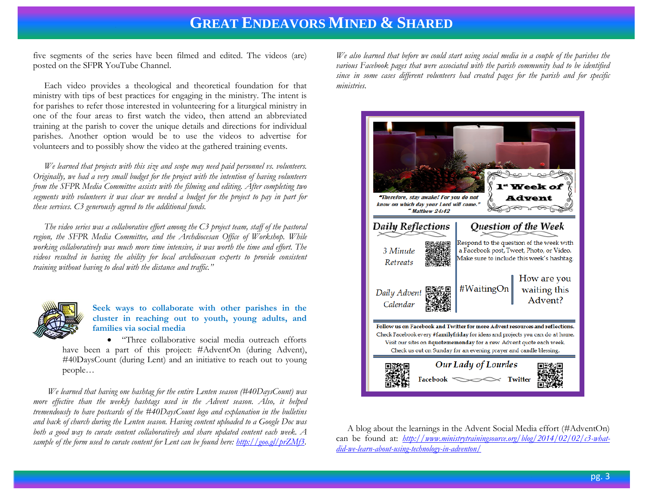five segments of the series have been filmed and edited. The videos (are) posted on the SFPR YouTube Channel.

 Each video provides a theological and theoretical foundation for that ministry with tips of best practices for engaging in the ministry. The intent is for parishes to refer those interested in volunteering for a liturgical ministry in one of the four areas to first watch the video, then attend an abbreviated training at the parish to cover the unique details and directions for individual parishes. Another option would be to use the videos to advertise for volunteers and to possibly show the video at the gathered training events.

 *We learned that projects with this size and scope may need paid personnel vs. volunteers. Originally, we had a very small budget for the project with the intention of having volunteers from the SFPR Media Committee assists with the filming and editing. After completing two segments with volunteers it was clear we needed a budget for the project to pay in part for these services. C3 generously agreed to the additional funds.*

 *The video series was a collaborative effort among the C3 project team, staff of the pastoral region, the SFPR Media Committee, and the Archdiocesan Office of Workshop. While working collaboratively was much more time intensive, it was worth the time and effort. The videos resulted in having the ability for local archdiocesan experts to provide consistent training without having to deal with the distance and traffic."*



### **Seek ways to collaborate with other parishes in the cluster in reaching out to youth, young adults, and families via social media**

 "Three collaborative social media outreach efforts have been a part of this project: #AdventOn (during Advent), #40DaysCount (during Lent) and an initiative to reach out to young people…

*We learned that having one hashtag for the entire Lenten season (#40DaysCount) was more effective than the weekly hashtags used in the Advent season. Also, it helped tremendously to have postcards of the #40DaysCount logo and explanation in the bulletins and back of church during the Lenten season. Having content uploaded to a Google Doc was both a good way to curate content collaboratively and share updated content each week. A sample of the form used to curate content for Lent can be found here: [http://goo.gl/prZMf3.](http://goo.gl/prZMf3)*

*We also learned that before we could start using social media in a couple of the parishes the various Facebook pages that were associated with the parish community had to be identified since in some cases different volunteers had created pages for the parish and for specific ministries.*



 A blog about the learnings in the Advent Social Media effort (#AdventOn) can be found at: *[http://www.ministrytrainingsource.org/blog/2014/02/02/c3-what](http://www.ministrytrainingsource.org/blog/2014/02/02/c3-what-did-we-learn-about-using-technology-in-adventon/)[did-we-learn-about-using-technology-in-adventon/](http://www.ministrytrainingsource.org/blog/2014/02/02/c3-what-did-we-learn-about-using-technology-in-adventon/)*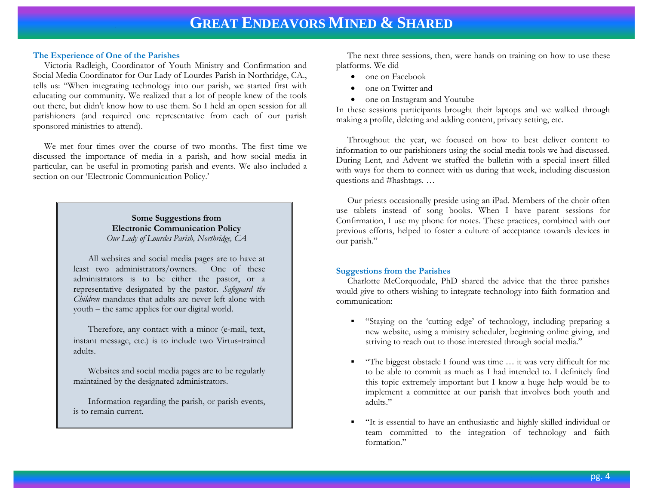### **The Experience of One of the Parishes**

 Victoria Radleigh, Coordinator of Youth Ministry and Confirmation and Social Media Coordinator for Our Lady of Lourdes Parish in Northridge, CA., tells us: "When integrating technology into our parish, we started first with educating our community. We realized that a lot of people knew of the tools out there, but didn't know how to use them. So I held an open session for all parishioners (and required one representative from each of our parish sponsored ministries to attend).

 We met four times over the course of two months. The first time we discussed the importance of media in a parish, and how social media in particular, can be useful in promoting parish and events. We also included a section on our 'Electronic Communication Policy.'

> **Some Suggestions from Electronic Communication Policy** *Our Lady of Lourdes Parish, Northridge, CA*

All websites and social media pages are to have at least two administrators/owners. One of these administrators is to be either the pastor, or a representative designated by the pastor. *Safeguard the Children* mandates that adults are never left alone with youth – the same applies for our digital world.

Therefore, any contact with a minor (e-mail, text, instant message, etc.) is to include two Virtus-trained adults.

Websites and social media pages are to be regularly maintained by the designated administrators.

Information regarding the parish, or parish events, is to remain current.

 The next three sessions, then, were hands on training on how to use these platforms. We did

- one on Facebook
- one on Twitter and
- one on Instagram and Youtube

In these sessions participants brought their laptops and we walked through making a profile, deleting and adding content, privacy setting, etc.

 Throughout the year, we focused on how to best deliver content to information to our parishioners using the social media tools we had discussed. During Lent, and Advent we stuffed the bulletin with a special insert filled with ways for them to connect with us during that week, including discussion questions and #hashtags. …

 Our priests occasionally preside using an iPad. Members of the choir often use tablets instead of song books. When I have parent sessions for Confirmation, I use my phone for notes. These practices, combined with our previous efforts, helped to foster a culture of acceptance towards devices in our parish."

#### **Suggestions from the Parishes**

 Charlotte McCorquodale, PhD shared the advice that the three parishes would give to others wishing to integrate technology into faith formation and communication:

- "Staying on the 'cutting edge' of technology, including preparing a new website, using a ministry scheduler, beginning online giving, and striving to reach out to those interested through social media."
- "The biggest obstacle I found was time … it was very difficult for me to be able to commit as much as I had intended to. I definitely find this topic extremely important but I know a huge help would be to implement a committee at our parish that involves both youth and adults."
- "It is essential to have an enthusiastic and highly skilled individual or team committed to the integration of technology and faith formation"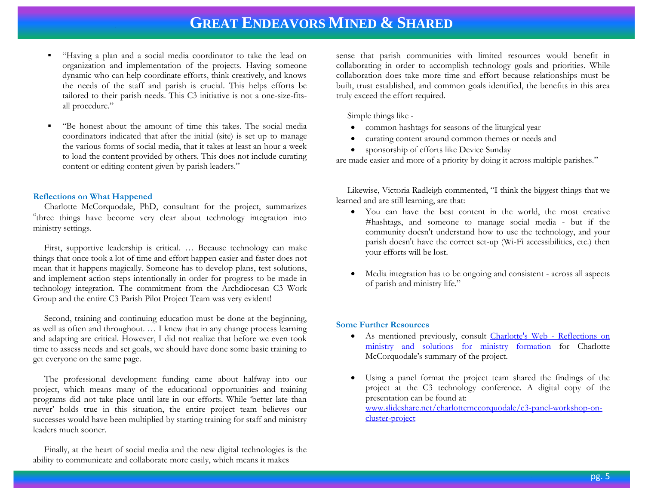- "Having a plan and a social media coordinator to take the lead on organization and implementation of the projects. Having someone dynamic who can help coordinate efforts, think creatively, and knows the needs of the staff and parish is crucial. This helps efforts be tailored to their parish needs. This C3 initiative is not a one-size-fitsall procedure."
- "Be honest about the amount of time this takes. The social media coordinators indicated that after the initial (site) is set up to manage the various forms of social media, that it takes at least an hour a week to load the content provided by others. This does not include curating content or editing content given by parish leaders."

#### **Reflections on What Happened**

 Charlotte McCorquodale, PhD, consultant for the project, summarizes "three things have become very clear about technology integration into ministry settings.

 First, supportive leadership is critical. … Because technology can make things that once took a lot of time and effort happen easier and faster does not mean that it happens magically. Someone has to develop plans, test solutions, and implement action steps intentionally in order for progress to be made in technology integration. The commitment from the Archdiocesan C3 Work Group and the entire C3 Parish Pilot Project Team was very evident!

 Second, training and continuing education must be done at the beginning, as well as often and throughout. … I knew that in any change process learning and adapting are critical. However, I did not realize that before we even took time to assess needs and set goals, we should have done some basic training to get everyone on the same page.

 The professional development funding came about halfway into our project, which means many of the educational opportunities and training programs did not take place until late in our efforts. While 'better late than never' holds true in this situation, the entire project team believes our successes would have been multiplied by starting training for staff and ministry leaders much sooner.

 Finally, at the heart of social media and the new digital technologies is the ability to communicate and collaborate more easily, which means it makes

sense that parish communities with limited resources would benefit in collaborating in order to accomplish technology goals and priorities. While collaboration does take more time and effort because relationships must be built, trust established, and common goals identified, the benefits in this area truly exceed the effort required.

Simple things like -

- common hashtags for seasons of the liturgical year
- curating content around common themes or needs and
- sponsorship of efforts like Device Sunday

are made easier and more of a priority by doing it across multiple parishes."

 Likewise, Victoria Radleigh commented, "I think the biggest things that we learned and are still learning, are that:

- You can have the best content in the world, the most creative #hashtags, and someone to manage social media - but if the community doesn't understand how to use the technology, and your parish doesn't have the correct set-up (Wi-Fi accessibilities, etc.) then your efforts will be lost.
- Media integration has to be ongoing and consistent across all aspects of parish and ministry life."

#### **Some Further Resources**

- As mentioned previously, consult [Charlotte's Web -](http://www.ministrytrainingsource.org/blog/) Reflections on [ministry and solutions for ministry formation](http://www.ministrytrainingsource.org/blog/) for Charlotte McCorquodale's summary of the project.
- Using a panel format the project team shared the findings of the project at the C3 technology conference. A digital copy of the presentation can be found at: [www.slideshare.net/charlottemccorquodale/c3-panel-workshop-on](http://www.slideshare.net/charlottemccorquodale/c3-panel-workshop-on-cluster-project)[cluster-project](http://www.slideshare.net/charlottemccorquodale/c3-panel-workshop-on-cluster-project)